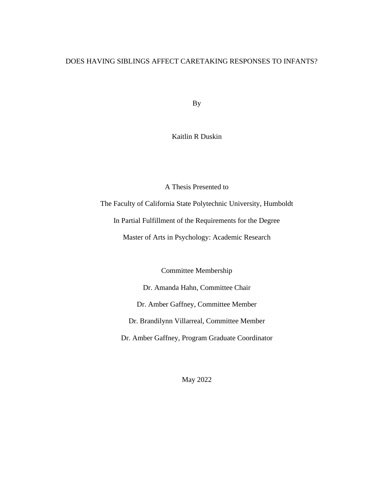## DOES HAVING SIBLINGS AFFECT CARETAKING RESPONSES TO INFANTS?

By

Kaitlin R Duskin

A Thesis Presented to

The Faculty of California State Polytechnic University, Humboldt

In Partial Fulfillment of the Requirements for the Degree

Master of Arts in Psychology: Academic Research

Committee Membership

Dr. Amanda Hahn, Committee Chair Dr. Amber Gaffney, Committee Member Dr. Brandilynn Villarreal, Committee Member Dr. Amber Gaffney, Program Graduate Coordinator

May 2022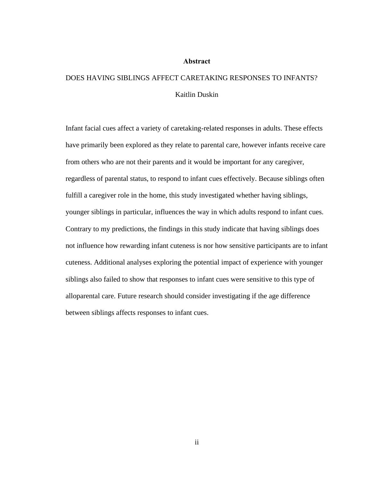#### **Abstract**

# <span id="page-1-0"></span>DOES HAVING SIBLINGS AFFECT CARETAKING RESPONSES TO INFANTS? Kaitlin Duskin

Infant facial cues affect a variety of caretaking-related responses in adults. These effects have primarily been explored as they relate to parental care, however infants receive care from others who are not their parents and it would be important for any caregiver, regardless of parental status, to respond to infant cues effectively. Because siblings often fulfill a caregiver role in the home, this study investigated whether having siblings, younger siblings in particular, influences the way in which adults respond to infant cues. Contrary to my predictions, the findings in this study indicate that having siblings does not influence how rewarding infant cuteness is nor how sensitive participants are to infant cuteness. Additional analyses exploring the potential impact of experience with younger siblings also failed to show that responses to infant cues were sensitive to this type of alloparental care. Future research should consider investigating if the age difference between siblings affects responses to infant cues.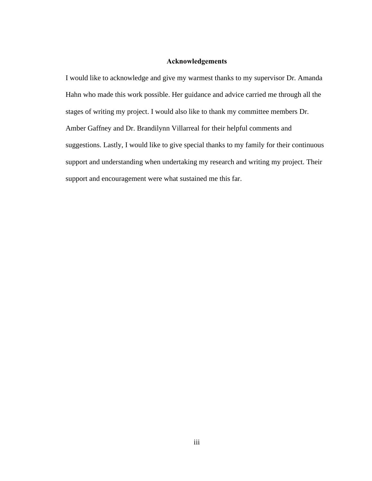### **Acknowledgements**

<span id="page-2-0"></span>I would like to acknowledge and give my warmest thanks to my supervisor Dr. Amanda Hahn who made this work possible. Her guidance and advice carried me through all the stages of writing my project. I would also like to thank my committee members Dr. Amber Gaffney and Dr. Brandilynn Villarreal for their helpful comments and suggestions. Lastly, I would like to give special thanks to my family for their continuous support and understanding when undertaking my research and writing my project. Their support and encouragement were what sustained me this far.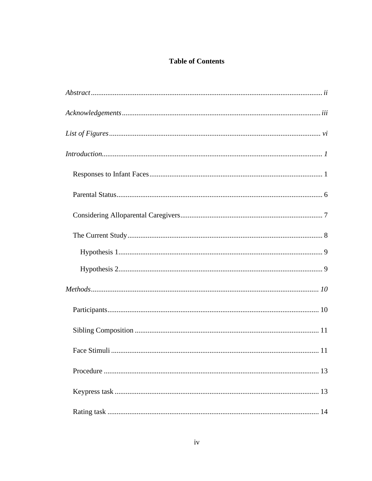## **Table of Contents**

| Introduction 1 |  |
|----------------|--|
|                |  |
|                |  |
|                |  |
|                |  |
|                |  |
|                |  |
|                |  |
|                |  |
|                |  |
|                |  |
|                |  |
|                |  |
|                |  |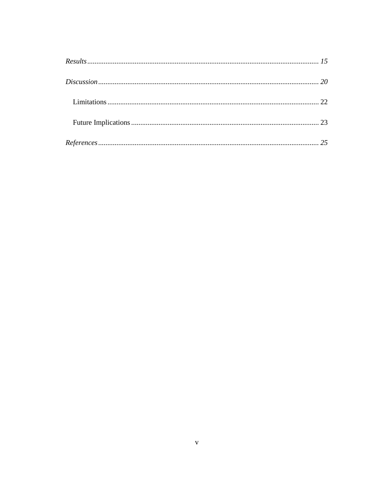| $\label{eq:regret} \textit{References}.\textit{}.\textit{}.\textit{}.\textit{}.\textit{}.\textit{}.\textit{}.\textit{}.\textit{}.\textit{125}$ |  |
|------------------------------------------------------------------------------------------------------------------------------------------------|--|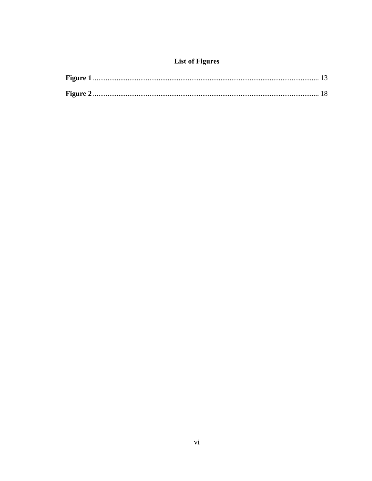## **List of Figures**

<span id="page-5-0"></span>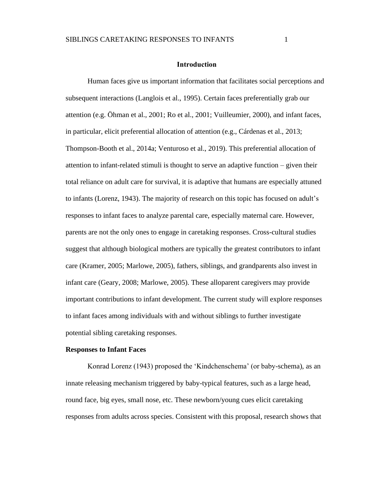#### **Introduction**

<span id="page-6-0"></span>Human faces give us important information that facilitates social perceptions and subsequent interactions (Langlois et al., 1995). Certain faces preferentially grab our attention (e.g. Öhman et al., 2001; Ro et al., 2001; Vuilleumier, 2000), and infant faces, in particular, elicit preferential allocation of attention (e.g., Cárdenas et al., 2013; Thompson-Booth et al., 2014a; Venturoso et al., 2019). This preferential allocation of attention to infant-related stimuli is thought to serve an adaptive function – given their total reliance on adult care for survival, it is adaptive that humans are especially attuned to infants (Lorenz, 1943). The majority of research on this topic has focused on adult's responses to infant faces to analyze parental care, especially maternal care. However, parents are not the only ones to engage in caretaking responses. Cross-cultural studies suggest that although biological mothers are typically the greatest contributors to infant care (Kramer, 2005; Marlowe, 2005), fathers, siblings, and grandparents also invest in infant care (Geary, 2008; Marlowe, 2005). These alloparent caregivers may provide important contributions to infant development. The current study will explore responses to infant faces among individuals with and without siblings to further investigate potential sibling caretaking responses.

#### <span id="page-6-1"></span>**Responses to Infant Faces**

Konrad Lorenz (1943) proposed the 'Kindchenschema' (or baby-schema), as an innate releasing mechanism triggered by baby-typical features, such as a large head, round face, big eyes, small nose, etc. These newborn/young cues elicit caretaking responses from adults across species. Consistent with this proposal, research shows that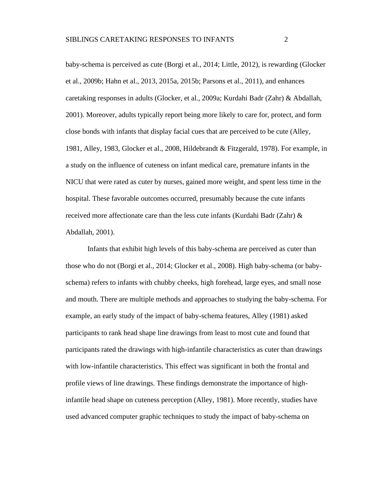baby-schema is perceived as cute (Borgi et al., 2014; Little, 2012), is rewarding (Glocker et al., 2009b; Hahn et al., 2013, 2015a, 2015b; Parsons et al., 2011), and enhances caretaking responses in adults (Glocker, et al., 2009a; Kurdahi Badr (Zahr) & Abdallah, 2001). Moreover, adults typically report being more likely to care for, protect, and form close bonds with infants that display facial cues that are perceived to be cute (Alley, 1981, Alley, 1983, Glocker et al., 2008, Hildebrandt & Fitzgerald, 1978). For example, in a study on the influence of cuteness on infant medical care, premature infants in the NICU that were rated as cuter by nurses, gained more weight, and spent less time in the hospital. These favorable outcomes occurred, presumably because the cute infants received more affectionate care than the less cute infants (Kurdahi Badr (Zahr) & Abdallah, 2001).

Infants that exhibit high levels of this baby-schema are perceived as cuter than those who do not (Borgi et al., 2014; Glocker et al., 2008). High baby-schema (or babyschema) refers to infants with chubby cheeks, high forehead, large eyes, and small nose and mouth. There are multiple methods and approaches to studying the baby-schema. For example, an early study of the impact of baby-schema features, Alley (1981) asked participants to rank head shape line drawings from least to most cute and found that participants rated the drawings with high-infantile characteristics as cuter than drawings with low-infantile characteristics. This effect was significant in both the frontal and profile views of line drawings. These findings demonstrate the importance of highinfantile head shape on cuteness perception (Alley, 1981). More recently, studies have used advanced computer graphic techniques to study the impact of baby-schema on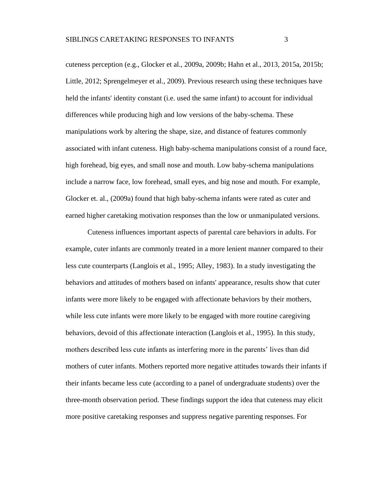cuteness perception (e.g., Glocker et al., 2009a, 2009b; Hahn et al., 2013, 2015a, 2015b; Little, 2012; Sprengelmeyer et al., 2009). Previous research using these techniques have held the infants' identity constant (i.e. used the same infant) to account for individual differences while producing high and low versions of the baby-schema. These manipulations work by altering the shape, size, and distance of features commonly associated with infant cuteness. High baby-schema manipulations consist of a round face, high forehead, big eyes, and small nose and mouth. Low baby-schema manipulations include a narrow face, low forehead, small eyes, and big nose and mouth. For example, Glocker et. al., (2009a) found that high baby-schema infants were rated as cuter and earned higher caretaking motivation responses than the low or unmanipulated versions.

Cuteness influences important aspects of parental care behaviors in adults. For example, cuter infants are commonly treated in a more lenient manner compared to their less cute counterparts (Langlois et al., 1995; Alley, 1983). In a study investigating the behaviors and attitudes of mothers based on infants' appearance, results show that cuter infants were more likely to be engaged with affectionate behaviors by their mothers, while less cute infants were more likely to be engaged with more routine caregiving behaviors, devoid of this affectionate interaction (Langlois et al., 1995). In this study, mothers described less cute infants as interfering more in the parents' lives than did mothers of cuter infants. Mothers reported more negative attitudes towards their infants if their infants became less cute (according to a panel of undergraduate students) over the three-month observation period. These findings support the idea that cuteness may elicit more positive caretaking responses and suppress negative parenting responses. For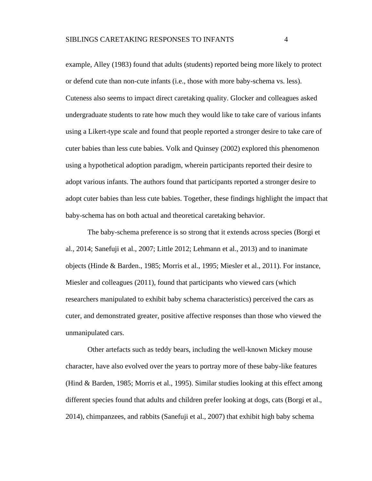example, Alley (1983) found that adults (students) reported being more likely to protect or defend cute than non-cute infants (i.e., those with more baby-schema vs. less). Cuteness also seems to impact direct caretaking quality. Glocker and colleagues asked undergraduate students to rate how much they would like to take care of various infants using a Likert-type scale and found that people reported a stronger desire to take care of cuter babies than less cute babies. Volk and Quinsey (2002) explored this phenomenon using a hypothetical adoption paradigm, wherein participants reported their desire to adopt various infants. The authors found that participants reported a stronger desire to adopt cuter babies than less cute babies. Together, these findings highlight the impact that baby-schema has on both actual and theoretical caretaking behavior.

The baby-schema preference is so strong that it extends across species (Borgi et al., 2014; Sanefuji et al., 2007; Little 2012; Lehmann et al., 2013) and to inanimate objects (Hinde & Barden., 1985; Morris et al., 1995; Miesler et al., 2011). For instance, Miesler and colleagues (2011), found that participants who viewed cars (which researchers manipulated to exhibit baby schema characteristics) perceived the cars as cuter, and demonstrated greater, positive affective responses than those who viewed the unmanipulated cars.

Other artefacts such as teddy bears, including the well-known Mickey mouse character, have also evolved over the years to portray more of these baby-like features (Hind & Barden, 1985; Morris et al., 1995). Similar studies looking at this effect among different species found that adults and children prefer looking at dogs, cats (Borgi et al., 2014), chimpanzees, and rabbits (Sanefuji et al., 2007) that exhibit high baby schema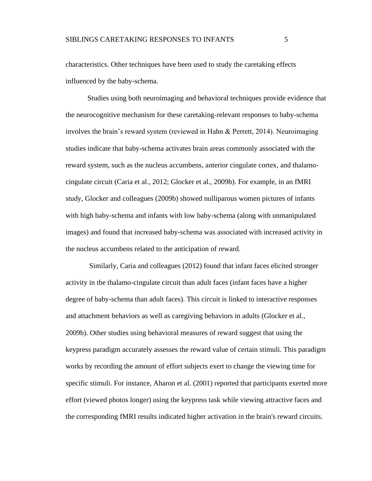characteristics. Other techniques have been used to study the caretaking effects influenced by the baby-schema.

Studies using both neuroimaging and behavioral techniques provide evidence that the neurocognitive mechanism for these caretaking-relevant responses to baby-schema involves the brain's reward system (reviewed in Hahn & Perrett, 2014). Neuroimaging studies indicate that baby-schema activates brain areas commonly associated with the reward system, such as the nucleus accumbens, anterior cingulate cortex, and thalamocingulate circuit (Caria et al., 2012; Glocker et al., 2009b). For example, in an fMRI study, Glocker and colleagues (2009b) showed nulliparous women pictures of infants with high baby-schema and infants with low baby-schema (along with unmanipulated images) and found that increased baby-schema was associated with increased activity in the nucleus accumbens related to the anticipation of reward.

Similarly, Caria and colleagues (2012) found that infant faces elicited stronger activity in the thalamo-cingulate circuit than adult faces (infant faces have a higher degree of baby-schema than adult faces). This circuit is linked to interactive responses and attachment behaviors as well as caregiving behaviors in adults (Glocker et al., 2009b). Other studies using behavioral measures of reward suggest that using the keypress paradigm accurately assesses the reward value of certain stimuli. This paradigm works by recording the amount of effort subjects exert to change the viewing time for specific stimuli. For instance, Aharon et al. (2001) reported that participants exerted more effort (viewed photos longer) using the keypress task while viewing attractive faces and the corresponding fMRI results indicated higher activation in the brain's reward circuits.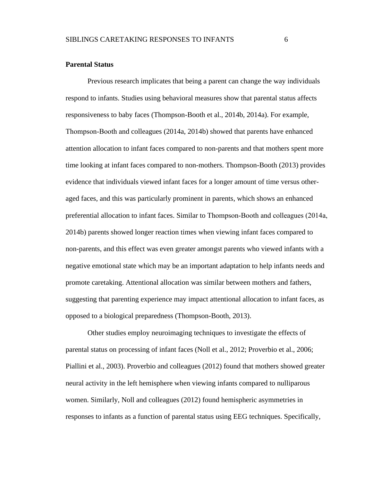#### <span id="page-11-0"></span>**Parental Status**

Previous research implicates that being a parent can change the way individuals respond to infants. Studies using behavioral measures show that parental status affects responsiveness to baby faces (Thompson-Booth et al., 2014b, 2014a). For example, Thompson‐Booth and colleagues (2014a, 2014b) showed that parents have enhanced attention allocation to infant faces compared to non-parents and that mothers spent more time looking at infant faces compared to non-mothers. Thompson-Booth (2013) provides evidence that individuals viewed infant faces for a longer amount of time versus otheraged faces, and this was particularly prominent in parents, which shows an enhanced preferential allocation to infant faces. Similar to Thompson‐Booth and colleagues (2014a, 2014b) parents showed longer reaction times when viewing infant faces compared to non-parents, and this effect was even greater amongst parents who viewed infants with a negative emotional state which may be an important adaptation to help infants needs and promote caretaking. Attentional allocation was similar between mothers and fathers, suggesting that parenting experience may impact attentional allocation to infant faces, as opposed to a biological preparedness (Thompson-Booth, 2013).

Other studies employ neuroimaging techniques to investigate the effects of parental status on processing of infant faces (Noll et al., 2012; Proverbio et al., 2006; Piallini et al., 2003). Proverbio and colleagues (2012) found that mothers showed greater neural activity in the left hemisphere when viewing infants compared to nulliparous women. Similarly, Noll and colleagues (2012) found hemispheric asymmetries in responses to infants as a function of parental status using EEG techniques. Specifically,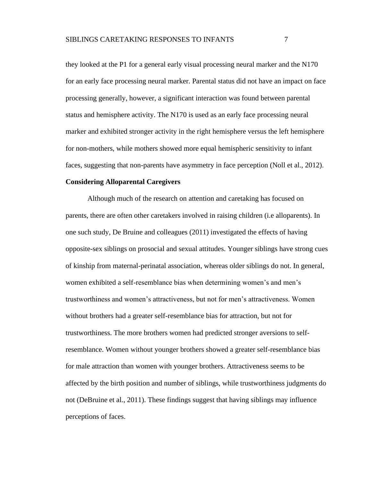they looked at the P1 for a general early visual processing neural marker and the N170 for an early face processing neural marker. Parental status did not have an impact on face processing generally, however, a significant interaction was found between parental status and hemisphere activity. The N170 is used as an early face processing neural marker and exhibited stronger activity in the right hemisphere versus the left hemisphere for non-mothers, while mothers showed more equal hemispheric sensitivity to infant faces, suggesting that non-parents have asymmetry in face perception (Noll et al., 2012).

#### <span id="page-12-0"></span>**Considering Alloparental Caregivers**

Although much of the research on attention and caretaking has focused on parents, there are often other caretakers involved in raising children (i.e alloparents). In one such study, De Bruine and colleagues (2011) investigated the effects of having opposite-sex siblings on prosocial and sexual attitudes. Younger siblings have strong cues of kinship from maternal-perinatal association, whereas older siblings do not. In general, women exhibited a self-resemblance bias when determining women's and men's trustworthiness and women's attractiveness, but not for men's attractiveness. Women without brothers had a greater self-resemblance bias for attraction, but not for trustworthiness. The more brothers women had predicted stronger aversions to selfresemblance. Women without younger brothers showed a greater self-resemblance bias for male attraction than women with younger brothers. Attractiveness seems to be affected by the birth position and number of siblings, while trustworthiness judgments do not (DeBruine et al., 2011). These findings suggest that having siblings may influence perceptions of faces.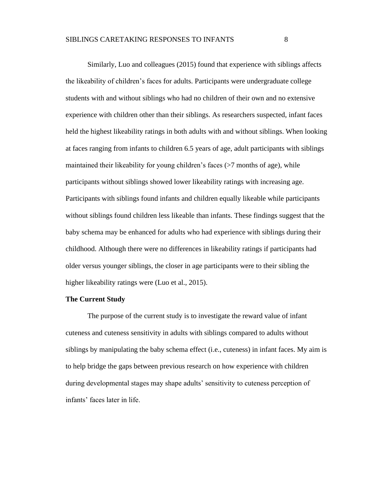Similarly, Luo and colleagues (2015) found that experience with siblings affects the likeability of children's faces for adults. Participants were undergraduate college students with and without siblings who had no children of their own and no extensive experience with children other than their siblings. As researchers suspected, infant faces held the highest likeability ratings in both adults with and without siblings. When looking at faces ranging from infants to children 6.5 years of age, adult participants with siblings maintained their likeability for young children's faces  $($ >7 months of age), while participants without siblings showed lower likeability ratings with increasing age. Participants with siblings found infants and children equally likeable while participants without siblings found children less likeable than infants. These findings suggest that the baby schema may be enhanced for adults who had experience with siblings during their childhood. Although there were no differences in likeability ratings if participants had older versus younger siblings, the closer in age participants were to their sibling the higher likeability ratings were (Luo et al., 2015).

#### <span id="page-13-0"></span>**The Current Study**

The purpose of the current study is to investigate the reward value of infant cuteness and cuteness sensitivity in adults with siblings compared to adults without siblings by manipulating the baby schema effect (i.e., cuteness) in infant faces. My aim is to help bridge the gaps between previous research on how experience with children during developmental stages may shape adults' sensitivity to cuteness perception of infants' faces later in life.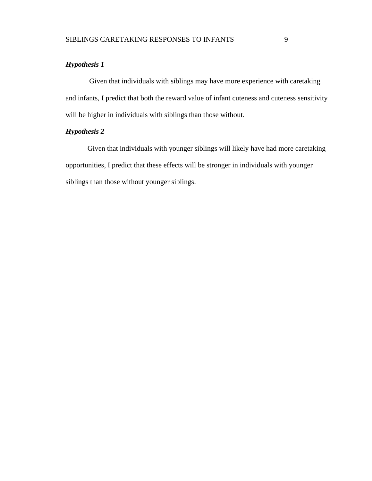## <span id="page-14-0"></span>*Hypothesis 1*

Given that individuals with siblings may have more experience with caretaking and infants, I predict that both the reward value of infant cuteness and cuteness sensitivity will be higher in individuals with siblings than those without.

## <span id="page-14-1"></span>*Hypothesis 2*

Given that individuals with younger siblings will likely have had more caretaking opportunities, I predict that these effects will be stronger in individuals with younger siblings than those without younger siblings.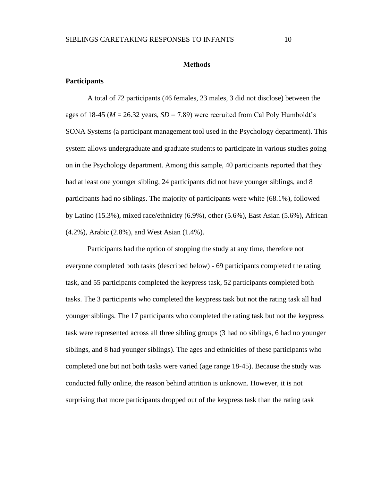#### **Methods**

#### <span id="page-15-1"></span><span id="page-15-0"></span>**Participants**

A total of 72 participants (46 females, 23 males, 3 did not disclose) between the ages of 18-45 ( $M = 26.32$  years,  $SD = 7.89$ ) were recruited from Cal Poly Humboldt's SONA Systems (a participant management tool used in the Psychology department). This system allows undergraduate and graduate students to participate in various studies going on in the Psychology department. Among this sample, 40 participants reported that they had at least one younger sibling, 24 participants did not have younger siblings, and 8 participants had no siblings. The majority of participants were white (68.1%), followed by Latino (15.3%), mixed race/ethnicity (6.9%), other (5.6%), East Asian (5.6%), African (4.2%), Arabic (2.8%), and West Asian (1.4%).

Participants had the option of stopping the study at any time, therefore not everyone completed both tasks (described below) - 69 participants completed the rating task, and 55 participants completed the keypress task, 52 participants completed both tasks. The 3 participants who completed the keypress task but not the rating task all had younger siblings. The 17 participants who completed the rating task but not the keypress task were represented across all three sibling groups (3 had no siblings, 6 had no younger siblings, and 8 had younger siblings). The ages and ethnicities of these participants who completed one but not both tasks were varied (age range 18-45). Because the study was conducted fully online, the reason behind attrition is unknown. However, it is not surprising that more participants dropped out of the keypress task than the rating task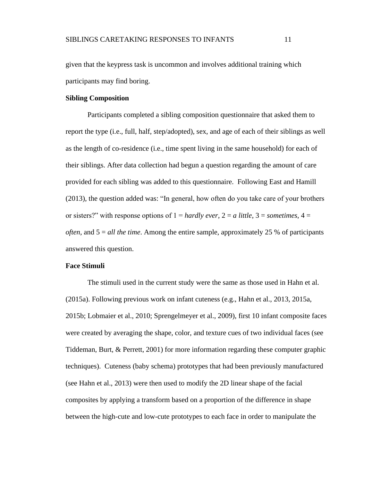given that the keypress task is uncommon and involves additional training which participants may find boring.

#### <span id="page-16-0"></span>**Sibling Composition**

Participants completed a sibling composition questionnaire that asked them to report the type (i.e., full, half, step/adopted), sex, and age of each of their siblings as well as the length of co-residence (i.e., time spent living in the same household) for each of their siblings. After data collection had begun a question regarding the amount of care provided for each sibling was added to this questionnaire. Following East and Hamill (2013), the question added was: "In general, how often do you take care of your brothers or sisters?" with response options of  $1 =$  *hardly ever*,  $2 =$  *a little*,  $3 =$  *sometimes*,  $4 =$ *often*, and 5 = *all the time*. Among the entire sample, approximately 25 % of participants answered this question.

#### <span id="page-16-1"></span>**Face Stimuli**

The stimuli used in the current study were the same as those used in Hahn et al. (2015a). Following previous work on infant cuteness (e.g., Hahn et al., 2013, 2015a, 2015b; Lobmaier et al., 2010; Sprengelmeyer et al., 2009), first 10 infant composite faces were created by averaging the shape, color, and texture cues of two individual faces (see Tiddeman, Burt, & Perrett, 2001) for more information regarding these computer graphic techniques). Cuteness (baby schema) prototypes that had been previously manufactured (see Hahn et al., 2013) were then used to modify the 2D linear shape of the facial composites by applying a transform based on a proportion of the difference in shape between the high-cute and low-cute prototypes to each face in order to manipulate the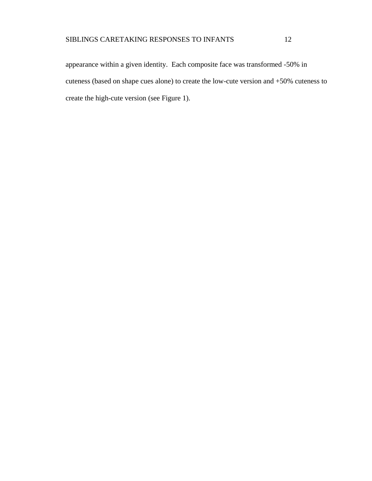appearance within a given identity. Each composite face was transformed -50% in cuteness (based on shape cues alone) to create the low-cute version and +50% cuteness to create the high-cute version (see Figure 1).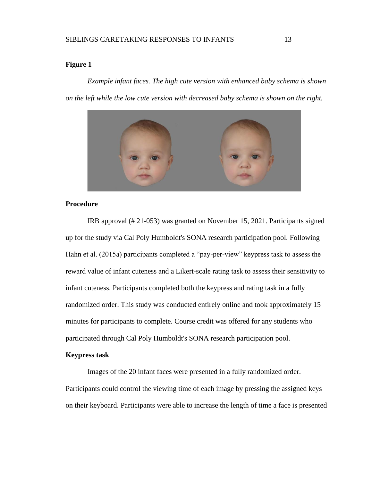## <span id="page-18-2"></span>**Figure 1**

*Example infant faces. The high cute version with enhanced baby schema is shown on the left while the low cute version with decreased baby schema is shown on the right.* 



#### <span id="page-18-0"></span>**Procedure**

IRB approval (# 21-053) was granted on November 15, 2021. Participants signed up for the study via Cal Poly Humboldt's SONA research participation pool. Following Hahn et al. (2015a) participants completed a "pay-per-view" keypress task to assess the reward value of infant cuteness and a Likert-scale rating task to assess their sensitivity to infant cuteness. Participants completed both the keypress and rating task in a fully randomized order. This study was conducted entirely online and took approximately 15 minutes for participants to complete. Course credit was offered for any students who participated through Cal Poly Humboldt's SONA research participation pool.

#### <span id="page-18-1"></span>**Keypress task**

Images of the 20 infant faces were presented in a fully randomized order. Participants could control the viewing time of each image by pressing the assigned keys on their keyboard. Participants were able to increase the length of time a face is presented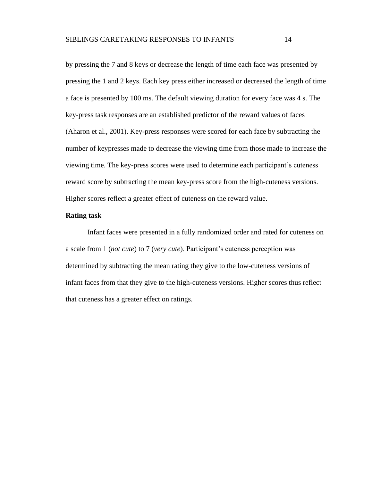by pressing the 7 and 8 keys or decrease the length of time each face was presented by pressing the 1 and 2 keys. Each key press either increased or decreased the length of time a face is presented by 100 ms. The default viewing duration for every face was 4 s. The key-press task responses are an established predictor of the reward values of faces (Aharon et al., 2001). Key-press responses were scored for each face by subtracting the number of keypresses made to decrease the viewing time from those made to increase the viewing time. The key-press scores were used to determine each participant's cuteness reward score by subtracting the mean key-press score from the high-cuteness versions. Higher scores reflect a greater effect of cuteness on the reward value.

#### <span id="page-19-0"></span>**Rating task**

Infant faces were presented in a fully randomized order and rated for cuteness on a scale from 1 (*not cute*) to 7 (*very cute*). Participant's cuteness perception was determined by subtracting the mean rating they give to the low-cuteness versions of infant faces from that they give to the high-cuteness versions. Higher scores thus reflect that cuteness has a greater effect on ratings.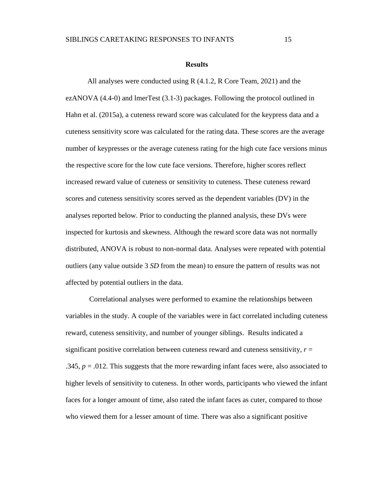#### **Results**

<span id="page-20-0"></span>All analyses were conducted using R (4.1.2, R Core Team, 2021) and the ezANOVA (4.4-0) and lmerTest (3.1-3) packages. Following the protocol outlined in Hahn et al. (2015a), a cuteness reward score was calculated for the keypress data and a cuteness sensitivity score was calculated for the rating data. These scores are the average number of keypresses or the average cuteness rating for the high cute face versions minus the respective score for the low cute face versions. Therefore, higher scores reflect increased reward value of cuteness or sensitivity to cuteness. These cuteness reward scores and cuteness sensitivity scores served as the dependent variables (DV) in the analyses reported below. Prior to conducting the planned analysis, these DVs were inspected for kurtosis and skewness. Although the reward score data was not normally distributed, ANOVA is robust to non-normal data. Analyses were repeated with potential outliers (any value outside 3 *SD* from the mean) to ensure the pattern of results was not affected by potential outliers in the data.

Correlational analyses were performed to examine the relationships between variables in the study. A couple of the variables were in fact correlated including cuteness reward, cuteness sensitivity, and number of younger siblings. Results indicated a significant positive correlation between cuteness reward and cuteness sensitivity,  $r =$ .345,  $p = .012$ . This suggests that the more rewarding infant faces were, also associated to higher levels of sensitivity to cuteness. In other words, participants who viewed the infant faces for a longer amount of time, also rated the infant faces as cuter, compared to those who viewed them for a lesser amount of time. There was also a significant positive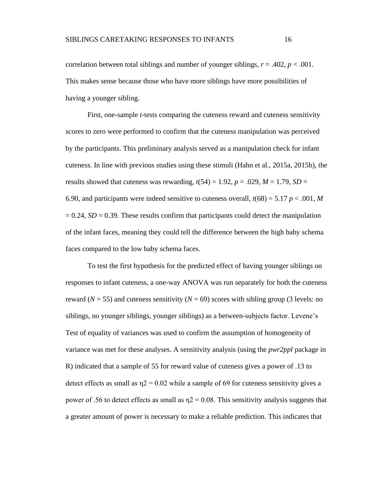correlation between total siblings and number of younger siblings,  $r = .402$ ,  $p < .001$ . This makes sense because those who have more siblings have more possibilities of having a younger sibling.

First, one-sample *t*-tests comparing the cuteness reward and cuteness sensitivity scores to zero were performed to confirm that the cuteness manipulation was perceived by the participants. This preliminary analysis served as a manipulation check for infant cuteness. In line with previous studies using these stimuli (Hahn et al., 2015a, 2015b), the results showed that cuteness was rewarding,  $t(54) = 1.92$ ,  $p = .029$ ,  $M = 1.79$ ,  $SD =$ 6.90, and participants were indeed sensitive to cuteness overall,  $t(68) = 5.17$   $p < .001$ , M  $= 0.24$ ,  $SD = 0.39$ . These results confirm that participants could detect the manipulation of the infant faces, meaning they could tell the difference between the high baby schema faces compared to the low baby schema faces.

To test the first hypothesis for the predicted effect of having younger siblings on responses to infant cuteness, a one-way ANOVA was run separately for both the cuteness reward ( $N = 55$ ) and cuteness sensitivity ( $N = 69$ ) scores with sibling group (3 levels: no siblings, no younger siblings, younger siblings) as a between-subjects factor. Levene's Test of equality of variances was used to confirm the assumption of homogeneity of variance was met for these analyses. A sensitivity analysis (using the *pwr2ppl* package in R) indicated that a sample of 55 for reward value of cuteness gives a power of .13 to detect effects as small as  $\eta$  = 0.02 while a sample of 69 for cuteness sensitivity gives a power of .56 to detect effects as small as  $\eta$ 2 = 0.08. This sensitivity analysis suggests that a greater amount of power is necessary to make a reliable prediction. This indicates that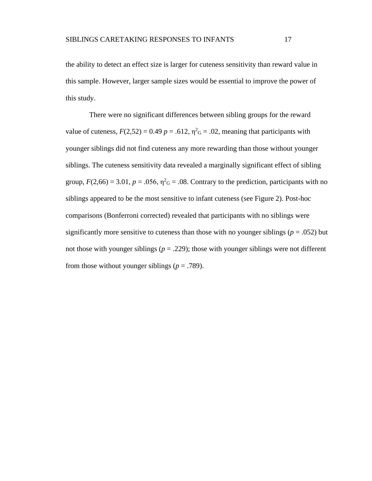the ability to detect an effect size is larger for cuteness sensitivity than reward value in this sample. However, larger sample sizes would be essential to improve the power of this study.

There were no significant differences between sibling groups for the reward value of cuteness,  $F(2,52) = 0.49$   $p = .612$ ,  $\eta^2$ <sub>G</sub> = .02, meaning that participants with younger siblings did not find cuteness any more rewarding than those without younger siblings. The cuteness sensitivity data revealed a marginally significant effect of sibling group,  $F(2,66) = 3.01$ ,  $p = .056$ ,  $\eta^2$ <sub>G</sub> = .08. Contrary to the prediction, participants with no siblings appeared to be the most sensitive to infant cuteness (see Figure 2). Post-hoc comparisons (Bonferroni corrected) revealed that participants with no siblings were significantly more sensitive to cuteness than those with no younger siblings ( $p = .052$ ) but not those with younger siblings ( $p = .229$ ); those with younger siblings were not different from those without younger siblings ( $p = .789$ ).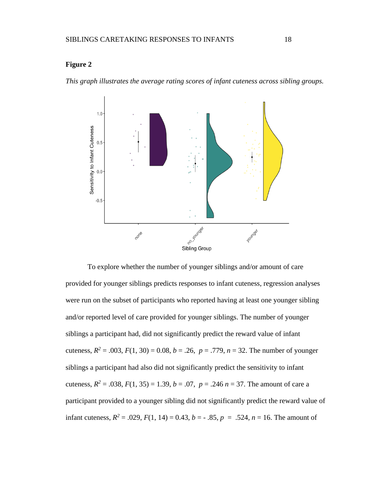## <span id="page-23-0"></span>**Figure 2**

*This graph illustrates the average rating scores of infant cuteness across sibling groups.*



To explore whether the number of younger siblings and/or amount of care provided for younger siblings predicts responses to infant cuteness, regression analyses were run on the subset of participants who reported having at least one younger sibling and/or reported level of care provided for younger siblings. The number of younger siblings a participant had, did not significantly predict the reward value of infant cuteness,  $R^2 = .003$ ,  $F(1, 30) = 0.08$ ,  $b = .26$ ,  $p = .779$ ,  $n = 32$ . The number of younger siblings a participant had also did not significantly predict the sensitivity to infant cuteness,  $R^2 = .038$ ,  $F(1, 35) = 1.39$ ,  $b = .07$ ,  $p = .246$   $n = 37$ . The amount of care a participant provided to a younger sibling did not significantly predict the reward value of infant cuteness,  $R^2 = .029$ ,  $F(1, 14) = 0.43$ ,  $b = -.85$ ,  $p = .524$ ,  $n = 16$ . The amount of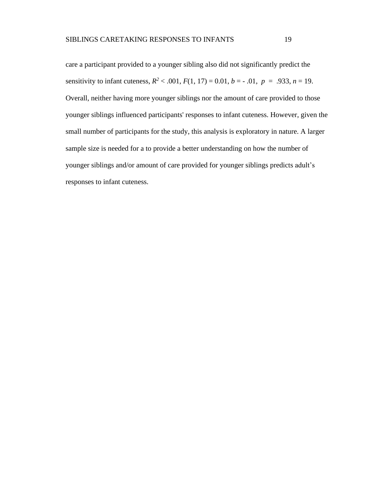care a participant provided to a younger sibling also did not significantly predict the sensitivity to infant cuteness,  $R^2 < .001$ ,  $F(1, 17) = 0.01$ ,  $b = -.01$ ,  $p = .933$ ,  $n = 19$ . Overall, neither having more younger siblings nor the amount of care provided to those younger siblings influenced participants' responses to infant cuteness. However, given the small number of participants for the study, this analysis is exploratory in nature. A larger sample size is needed for a to provide a better understanding on how the number of younger siblings and/or amount of care provided for younger siblings predicts adult's responses to infant cuteness.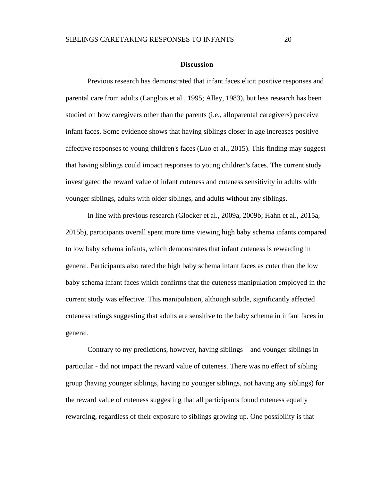#### **Discussion**

<span id="page-25-0"></span>Previous research has demonstrated that infant faces elicit positive responses and parental care from adults (Langlois et al., 1995; Alley, 1983), but less research has been studied on how caregivers other than the parents (i.e., alloparental caregivers) perceive infant faces. Some evidence shows that having siblings closer in age increases positive affective responses to young children's faces (Luo et al., 2015). This finding may suggest that having siblings could impact responses to young children's faces. The current study investigated the reward value of infant cuteness and cuteness sensitivity in adults with younger siblings, adults with older siblings, and adults without any siblings.

In line with previous research (Glocker et al., 2009a, 2009b; Hahn et al., 2015a, 2015b), participants overall spent more time viewing high baby schema infants compared to low baby schema infants, which demonstrates that infant cuteness is rewarding in general. Participants also rated the high baby schema infant faces as cuter than the low baby schema infant faces which confirms that the cuteness manipulation employed in the current study was effective. This manipulation, although subtle, significantly affected cuteness ratings suggesting that adults are sensitive to the baby schema in infant faces in general.

Contrary to my predictions, however, having siblings – and younger siblings in particular - did not impact the reward value of cuteness. There was no effect of sibling group (having younger siblings, having no younger siblings, not having any siblings) for the reward value of cuteness suggesting that all participants found cuteness equally rewarding, regardless of their exposure to siblings growing up. One possibility is that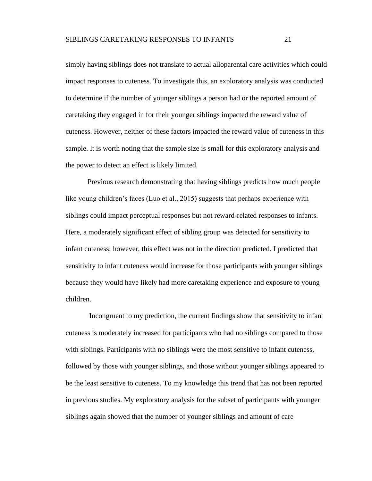simply having siblings does not translate to actual alloparental care activities which could impact responses to cuteness. To investigate this, an exploratory analysis was conducted to determine if the number of younger siblings a person had or the reported amount of caretaking they engaged in for their younger siblings impacted the reward value of cuteness. However, neither of these factors impacted the reward value of cuteness in this sample. It is worth noting that the sample size is small for this exploratory analysis and the power to detect an effect is likely limited.

Previous research demonstrating that having siblings predicts how much people like young children's faces (Luo et al., 2015) suggests that perhaps experience with siblings could impact perceptual responses but not reward-related responses to infants. Here, a moderately significant effect of sibling group was detected for sensitivity to infant cuteness; however, this effect was not in the direction predicted. I predicted that sensitivity to infant cuteness would increase for those participants with younger siblings because they would have likely had more caretaking experience and exposure to young children.

Incongruent to my prediction, the current findings show that sensitivity to infant cuteness is moderately increased for participants who had no siblings compared to those with siblings. Participants with no siblings were the most sensitive to infant cuteness, followed by those with younger siblings, and those without younger siblings appeared to be the least sensitive to cuteness. To my knowledge this trend that has not been reported in previous studies. My exploratory analysis for the subset of participants with younger siblings again showed that the number of younger siblings and amount of care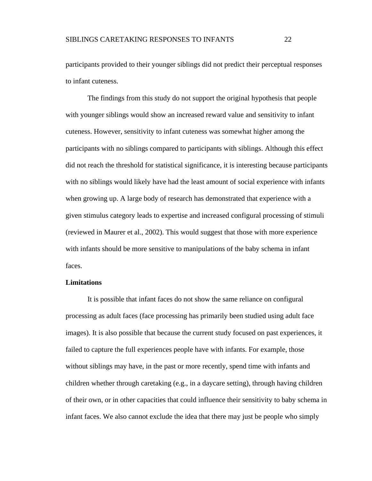participants provided to their younger siblings did not predict their perceptual responses to infant cuteness.

The findings from this study do not support the original hypothesis that people with younger siblings would show an increased reward value and sensitivity to infant cuteness. However, sensitivity to infant cuteness was somewhat higher among the participants with no siblings compared to participants with siblings. Although this effect did not reach the threshold for statistical significance, it is interesting because participants with no siblings would likely have had the least amount of social experience with infants when growing up. A large body of research has demonstrated that experience with a given stimulus category leads to expertise and increased configural processing of stimuli (reviewed in Maurer et al., 2002). This would suggest that those with more experience with infants should be more sensitive to manipulations of the baby schema in infant faces.

#### <span id="page-27-0"></span>**Limitations**

It is possible that infant faces do not show the same reliance on configural processing as adult faces (face processing has primarily been studied using adult face images). It is also possible that because the current study focused on past experiences, it failed to capture the full experiences people have with infants. For example, those without siblings may have, in the past or more recently, spend time with infants and children whether through caretaking (e.g., in a daycare setting), through having children of their own, or in other capacities that could influence their sensitivity to baby schema in infant faces. We also cannot exclude the idea that there may just be people who simply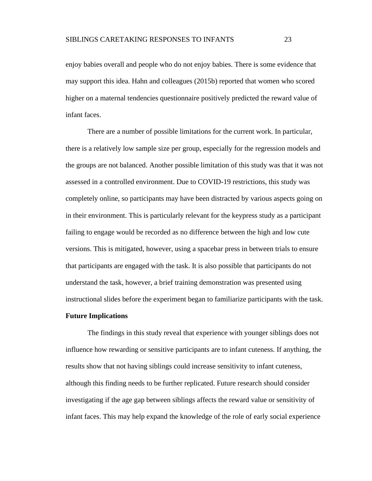enjoy babies overall and people who do not enjoy babies. There is some evidence that may support this idea. Hahn and colleagues (2015b) reported that women who scored higher on a maternal tendencies questionnaire positively predicted the reward value of infant faces.

There are a number of possible limitations for the current work. In particular, there is a relatively low sample size per group, especially for the regression models and the groups are not balanced. Another possible limitation of this study was that it was not assessed in a controlled environment. Due to COVID-19 restrictions, this study was completely online, so participants may have been distracted by various aspects going on in their environment. This is particularly relevant for the keypress study as a participant failing to engage would be recorded as no difference between the high and low cute versions. This is mitigated, however, using a spacebar press in between trials to ensure that participants are engaged with the task. It is also possible that participants do not understand the task, however, a brief training demonstration was presented using instructional slides before the experiment began to familiarize participants with the task.

#### <span id="page-28-0"></span>**Future Implications**

The findings in this study reveal that experience with younger siblings does not influence how rewarding or sensitive participants are to infant cuteness. If anything, the results show that not having siblings could increase sensitivity to infant cuteness, although this finding needs to be further replicated. Future research should consider investigating if the age gap between siblings affects the reward value or sensitivity of infant faces. This may help expand the knowledge of the role of early social experience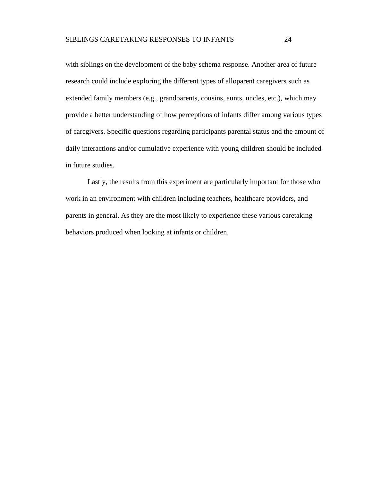with siblings on the development of the baby schema response. Another area of future research could include exploring the different types of alloparent caregivers such as extended family members (e.g., grandparents, cousins, aunts, uncles, etc.), which may provide a better understanding of how perceptions of infants differ among various types of caregivers. Specific questions regarding participants parental status and the amount of daily interactions and/or cumulative experience with young children should be included in future studies.

Lastly, the results from this experiment are particularly important for those who work in an environment with children including teachers, healthcare providers, and parents in general. As they are the most likely to experience these various caretaking behaviors produced when looking at infants or children.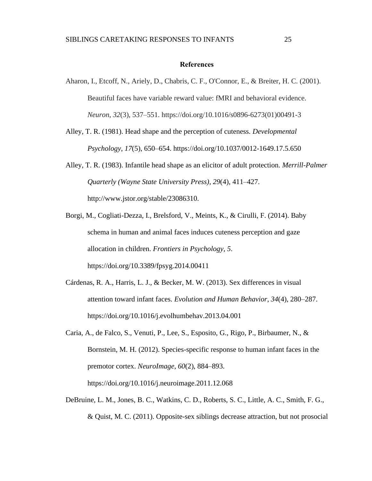#### **References**

- <span id="page-30-0"></span>Aharon, I., Etcoff, N., Ariely, D., Chabris, C. F., O'Connor, E., & Breiter, H. C. (2001). Beautiful faces have variable reward value: fMRI and behavioral evidence. *Neuron*, *32*(3), 537–551. https://doi.org/10.1016/s0896-6273(01)00491-3
- Alley, T. R. (1981). Head shape and the perception of cuteness. *Developmental Psychology*, *17*(5), 650–654. https://doi.org/10.1037/0012-1649.17.5.650
- Alley, T. R. (1983). Infantile head shape as an elicitor of adult protection. *Merrill-Palmer Quarterly (Wayne State University Press)*, *29*(4), 411–427. http://www.jstor.org/stable/23086310.
- Borgi, M., Cogliati-Dezza, I., Brelsford, V., Meints, K., & Cirulli, F. (2014). Baby schema in human and animal faces induces cuteness perception and gaze allocation in children. *Frontiers in Psychology*, *5*. https://doi.org/10.3389/fpsyg.2014.00411
- Cárdenas, R. A., Harris, L. J., & Becker, M. W. (2013). Sex differences in visual attention toward infant faces. *Evolution and Human Behavior*, *34*(4), 280–287. https://doi.org/10.1016/j.evolhumbehav.2013.04.001
- Caria, A., de Falco, S., Venuti, P., Lee, S., Esposito, G., Rigo, P., Birbaumer, N., & Bornstein, M. H. (2012). Species-specific response to human infant faces in the premotor cortex. *NeuroImage*, *60*(2), 884–893. <https://doi.org/10.1016/j.neuroimage.2011.12.068>
- DeBruine, L. M., Jones, B. C., Watkins, C. D., Roberts, S. C., Little, A. C., Smith, F. G., & Quist, M. C. (2011). Opposite-sex siblings decrease attraction, but not prosocial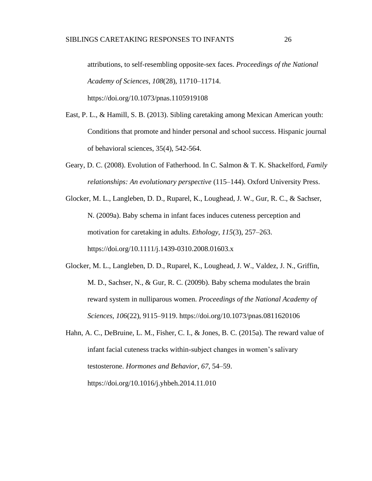attributions, to self-resembling opposite-sex faces. *Proceedings of the National Academy of Sciences*, *108*(28), 11710–11714. https://doi.org/10.1073/pnas.1105919108

East, P. L., & Hamill, S. B. (2013). Sibling caretaking among Mexican American youth: Conditions that promote and hinder personal and school success. Hispanic journal of behavioral sciences, 35(4), 542-564.

- Geary, D. C. (2008). Evolution of Fatherhood. In C. Salmon & T. K. Shackelford, *Family relationships: An evolutionary perspective* (115–144). Oxford University Press.
- Glocker, M. L., Langleben, D. D., Ruparel, K., Loughead, J. W., Gur, R. C., & Sachser, N. (2009a). Baby schema in infant faces induces cuteness perception and motivation for caretaking in adults. *Ethology*, *115*(3), 257–263. https://doi.org/10.1111/j.1439-0310.2008.01603.x
- Glocker, M. L., Langleben, D. D., Ruparel, K., Loughead, J. W., Valdez, J. N., Griffin, M. D., Sachser, N., & Gur, R. C. (2009b). Baby schema modulates the brain reward system in nulliparous women. *Proceedings of the National Academy of Sciences*, *106*(22), 9115–9119. https://doi.org/10.1073/pnas.0811620106
- Hahn, A. C., DeBruine, L. M., Fisher, C. I., & Jones, B. C. (2015a). The reward value of infant facial cuteness tracks within-subject changes in women's salivary testosterone. *Hormones and Behavior*, *67*, 54–59. https://doi.org/10.1016/j.yhbeh.2014.11.010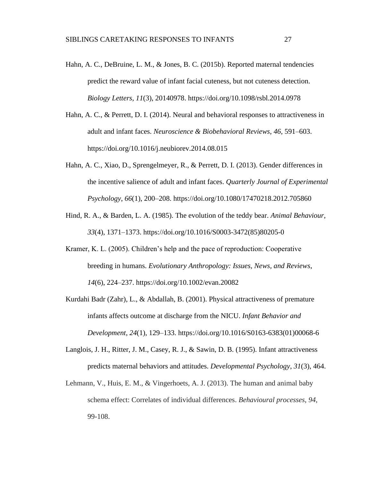- Hahn, A. C., DeBruine, L. M., & Jones, B. C. (2015b). Reported maternal tendencies predict the reward value of infant facial cuteness, but not cuteness detection. *Biology Letters*, *11*(3), 20140978. https://doi.org/10.1098/rsbl.2014.0978
- Hahn, A. C., & Perrett, D. I. (2014). Neural and behavioral responses to attractiveness in adult and infant faces. *Neuroscience & Biobehavioral Reviews*, *46*, 591–603. https://doi.org/10.1016/j.neubiorev.2014.08.015
- Hahn, A. C., Xiao, D., Sprengelmeyer, R., & Perrett, D. I. (2013). Gender differences in the incentive salience of adult and infant faces. *Quarterly Journal of Experimental Psychology*, *66*(1), 200–208. https://doi.org/10.1080/17470218.2012.705860
- Hind, R. A., & Barden, L. A. (1985). The evolution of the teddy bear. *Animal Behaviour*, *33*(4), 1371–1373. https://doi.org/10.1016/S0003-3472(85)80205-0
- Kramer, K. L. (2005). Children's help and the pace of reproduction: Cooperative breeding in humans. *Evolutionary Anthropology: Issues, News, and Reviews*, *14*(6), 224–237. https://doi.org/10.1002/evan.20082
- Kurdahi Badr (Zahr), L., & Abdallah, B. (2001). Physical attractiveness of premature infants affects outcome at discharge from the NICU. *Infant Behavior and Development*, *24*(1), 129–133. https://doi.org/10.1016/S0163-6383(01)00068-6
- Langlois, J. H., Ritter, J. M., Casey, R. J., & Sawin, D. B. (1995). Infant attractiveness predicts maternal behaviors and attitudes. *Developmental Psychology*, *31*(3), 464.
- Lehmann, V., Huis, E. M., & Vingerhoets, A. J. (2013). The human and animal baby schema effect: Correlates of individual differences. *Behavioural processes*, *94*, 99-108.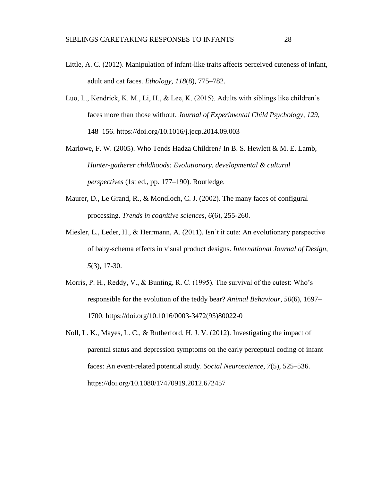- Little, A. C. (2012). Manipulation of infant-like traits affects perceived cuteness of infant, adult and cat faces. *Ethology*, *118*(8), 775–782.
- Luo, L., Kendrick, K. M., Li, H., & Lee, K. (2015). Adults with siblings like children's faces more than those without. *Journal of Experimental Child Psychology*, *129*, 148–156. https://doi.org/10.1016/j.jecp.2014.09.003
- Marlowe, F. W. (2005). Who Tends Hadza Children? In B. S. Hewlett & M. E. Lamb, *Hunter-gatherer childhoods: Evolutionary, developmental & cultural perspectives* (1st ed., pp. 177–190). Routledge.
- Maurer, D., Le Grand, R., & Mondloch, C. J. (2002). The many faces of configural processing. *Trends in cognitive sciences*, *6*(6), 255-260.
- Miesler, L., Leder, H., & Herrmann, A. (2011). Isn't it cute: An evolutionary perspective of baby-schema effects in visual product designs. *International Journal of Design, 5*(3), 17-30.
- Morris, P. H., Reddy, V., & Bunting, R. C. (1995). The survival of the cutest: Who's responsible for the evolution of the teddy bear? *Animal Behaviour*, *50*(6), 1697– 1700. [https://doi.org/10.1016/0003-3472\(95\)80022-0](https://doi.org/10.1016/0003-3472(95)80022-0)
- Noll, L. K., Mayes, L. C., & Rutherford, H. J. V. (2012). Investigating the impact of parental status and depression symptoms on the early perceptual coding of infant faces: An event-related potential study. *Social Neuroscience*, *7*(5), 525–536[.](https://doi.org/10.1080/17470919.2012.672457) https://doi.org/10.1080/17470919.2012.672457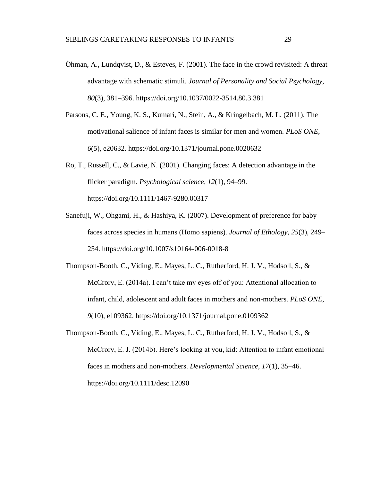- Öhman, A., Lundqvist, D., & Esteves, F. (2001). The face in the crowd revisited: A threat advantage with schematic stimuli. *Journal of Personality and Social Psychology*, *80*(3), 381–396. https://doi.org/10.1037/0022-3514.80.3.381
- Parsons, C. E., Young, K. S., Kumari, N., Stein, A., & Kringelbach, M. L. (2011). The motivational salience of infant faces is similar for men and women. *PLoS ONE*, *6*(5), e20632. https://doi.org/10.1371/journal.pone.0020632
- Ro, T., Russell, C., & Lavie, N. (2001). Changing faces: A detection advantage in the flicker paradigm. *Psychological science*, *12*(1), 94–99. https://doi.org/10.1111/1467-9280.00317
- Sanefuji, W., Ohgami, H., & Hashiya, K. (2007). Development of preference for baby faces across species in humans (Homo sapiens). *Journal of Ethology*, *25*(3), 249– 254. https://doi.org/10.1007/s10164-006-0018-8
- Thompson-Booth, C., Viding, E., Mayes, L. C., Rutherford, H. J. V., Hodsoll, S., & McCrory, E. (2014a). I can't take my eyes off of you: Attentional allocation to infant, child, adolescent and adult faces in mothers and non-mothers. *PLoS ONE*, *9*(10), e109362. https://doi.org/10.1371/journal.pone.0109362
- Thompson-Booth, C., Viding, E., Mayes, L. C., Rutherford, H. J. V., Hodsoll, S., & McCrory, E. J. (2014b). Here's looking at you, kid: Attention to infant emotional faces in mothers and non-mothers. *Developmental Science*, *17*(1), 35–46. https://doi.org/10.1111/desc.12090